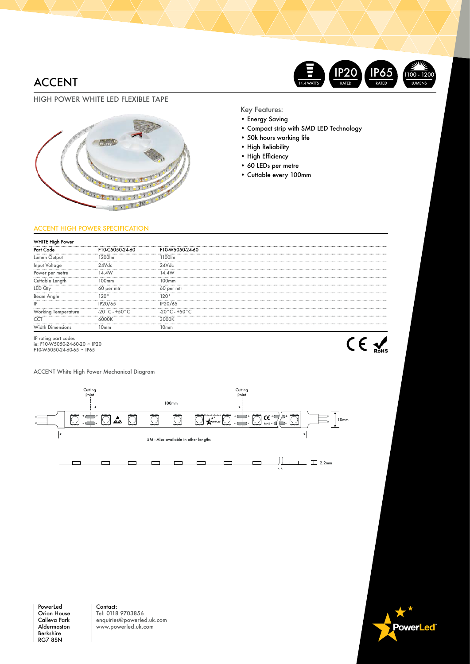## ACCENT



### HIGH POWER WHITE LED FLEXIBLE TAPE



Key Features:

- Energy Saving
- Compact strip with SMD LED Technology
- 50k hours working life
- High Reliability
- High Efficiency
- 60 LEDs per metre
- Cuttable every 100mm

### ACCENT HIGH POWER SPECIFICATION

| <b>WHITE High Power</b>                                                              |                                 |                                  |  |
|--------------------------------------------------------------------------------------|---------------------------------|----------------------------------|--|
| Part Code                                                                            | F10-C5050-24-60                 | F10-W5050-24-60                  |  |
|                                                                                      | 12001m                          | 1100lm                           |  |
| Input Voltage                                                                        | 24Vdc                           | 24Vdc                            |  |
| Power per metre                                                                      |                                 |                                  |  |
| Cuttable Length                                                                      | 100mm                           | 100mm                            |  |
|                                                                                      | 60 per mfr                      | 60 per mtr                       |  |
| Beam Angle                                                                           | 120°                            | 120°                             |  |
|                                                                                      | IP20/65                         | IP20/65                          |  |
| Working lemperature                                                                  | $-20\degree$ C - $+50\degree$ C | $-20\degree$ C - +50 $\degree$ C |  |
| CCT                                                                                  |                                 | 3000K                            |  |
| Width<br>Dimensions                                                                  | 10 <sub>mm</sub>                | 10 <sub>mm</sub>                 |  |
| IP rating part codes<br>ie: F10-W5050-24-60-20 ~ IP20<br>$F10-W5050-24-60-65$ ~ IP65 |                                 |                                  |  |

ACCENT White High Power Mechanical Diagram



PowerLed Orion House Calleva Park Aldermaston Berkshire RG7 8SN

Contact: Tel: 0118 9703856 enquiries@powerled.uk.com www.powerled.uk.com